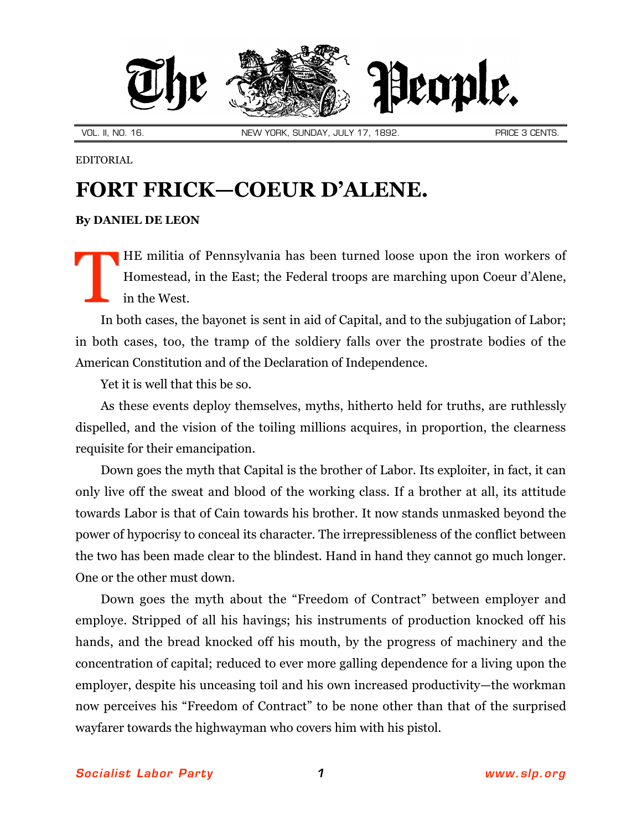

EDITORIAL

## **FORT FRICK—COEUR D'ALENE.**

## **By [DANIEL DE LEON](http://slp.org/De_Leon.htm)**

HE militia of Pennsylvania has been turned loose upon the iron workers of Homestead, in the East; the Federal troops are marching upon Coeur d'Alene, in the West. T

In both cases, the bayonet is sent in aid of Capital, and to the subjugation of Labor; in both cases, too, the tramp of the soldiery falls over the prostrate bodies of the American Constitution and of the Declaration of Independence.

Yet it is well that this be so.

As these events deploy themselves, myths, hitherto held for truths, are ruthlessly dispelled, and the vision of the toiling millions acquires, in proportion, the clearness requisite for their emancipation.

Down goes the myth that Capital is the brother of Labor. Its exploiter, in fact, it can only live off the sweat and blood of the working class. If a brother at all, its attitude towards Labor is that of Cain towards his brother. It now stands unmasked beyond the power of hypocrisy to conceal its character. The irrepressibleness of the conflict between the two has been made clear to the blindest. Hand in hand they cannot go much longer. One or the other must down.

Down goes the myth about the "Freedom of Contract" between employer and employe. Stripped of all his havings; his instruments of production knocked off his hands, and the bread knocked off his mouth, by the progress of machinery and the concentration of capital; reduced to ever more galling dependence for a living upon the employer, despite his unceasing toil and his own increased productivity—the workman now perceives his "Freedom of Contract" to be none other than that of the surprised wayfarer towards the highwayman who covers him with his pistol.